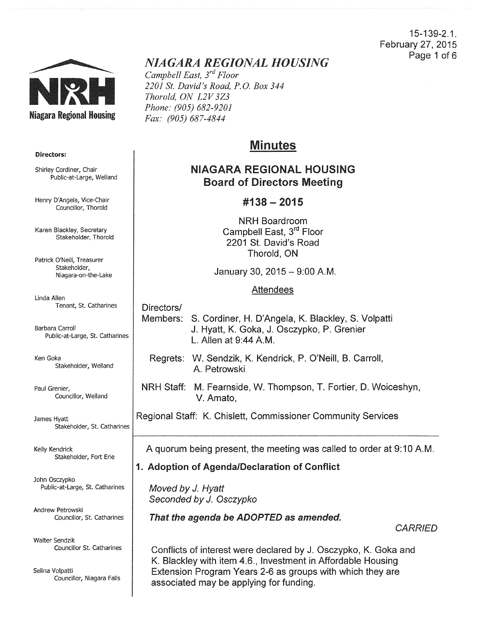### 15-139-2.1. February 27, 2015 Page 1 of 6



# *NIAGARA REGIONAL HOUSING*

*Campbell East, 3rd Floor 2201 St. David's Road, P.O. Box 344 Thorold, ON L2V 3Z3 Phone: (905) 682-9201 Fax: (905) 687-4844* 

# Minutes

# NIAGARA REGIONAL HOUSING Board of Directors Meeting

# #138- 2015

NRH Boardroom Campbell East, 3<sup>rd</sup> Floor 2201 St. David's Road Thorold, ON

January 30, 2015-9:00 A.M.

### Attendees

Directors/ Members: S. Cordiner, H. D'Angela, K. Blackley, S. Volpatti J. Hyatt, K. Goka, J. Osczypko, P. Grenier L. Allen at 9:44 A.M.

Regrets: W. Sendzik, K. Kendrick, P. O'Neill, B. Carroll, A. Petrowski

NRH Staff: M. Fearnside, W. Thompson, T. Fortier, D. Woiceshyn, V. Amato,

Regional Staff: K. Chislett, Commissioner Community Services

A quorum being present, the meeting was called to order at 9:10A.M.

# 1. Adoption of Agenda/Declaration of Conflict

Moved by J. Hyatt Seconded by J. Osczypko

That the agenda be ADOPTED as amended.

**CARRIED** 

Conflicts of interest were declared by J. Osczypko, K. Goka and K. Blackley with item 4.6., Investment in Affordable Housing Extension Program Years 2-6 as groups with which they are associated may be applying for funding.

#### Directors:

Shirley Cordiner, Chair Public-at-Large, Weiland

Henry D'Angela, Vice-Chair Councillor, Thorold

Karen Blackley, Secretary Stakeholder, Thorold

Patrick O'Neill, Treasurer Stakeholder, Niagara-on-the-Lake

Linda Allen Tenant, St. catharines

Barbara carroll Public-at-Large, St. Catharines

Ken Goka Stakeholder, Weiland

Paul Grenier, Councillor, Weiland

James Hyatt Stakeholder, St. Catharines

Kelly Kendrick Stakeholder, Fort Erie

John Osczypko Public-at-Large, St. Catharines

Andrew Petrowski Councillor, St. catharines

Walter Sendzik Councillor St. Catharines

Selina Volpatti Councillor, Niagara Falls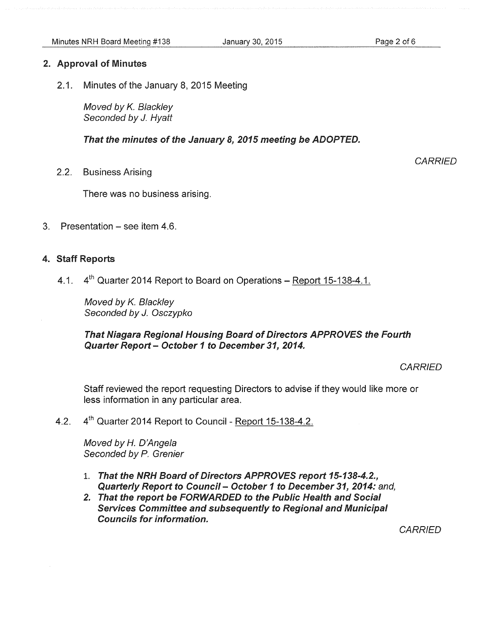### 2. Approval of Minutes

2.1. Minutes of the January 8, 2015 Meeting

Moved by *K.* Blackley Seconded by J. Hyatt

That the minutes of the January *8, 2015* meeting be ADOPTED.

2.2. Business Arising

There was no business arising.

3. Presentation – see item 4.6.

### 4. Staff Reports

4.1. 4<sup>th</sup> Quarter 2014 Report to Board on Operations – Report 15-138-4.1.

Moved by *K.* Blackley Seconded by J. Osczypko

That Niagara Regional Housing Board of Directors APPROVES the Fourth Quarter Report- October 1 to December *31, 2014.* 

**CARRIED** 

**CARRIED** 

Staff reviewed the report requesting Directors to advise if they would like more or less information in any particular area.

4.2. 4<sup>th</sup> Quarter 2014 Report to Council - Report 15-138-4.2.

Moved by H. D'Angela Seconded by P. Grenier

- 1. That the NRH Board of Directors APPROVES report *15-138-4.2.,*  Quarterly Report to Council- October *1* to December *31, 2014:* and,
- 2. That the report be FORWARDED to the Public Health and Social Services Committee and subsequently to Regional and Municipal Councils for information.

**CARRIED**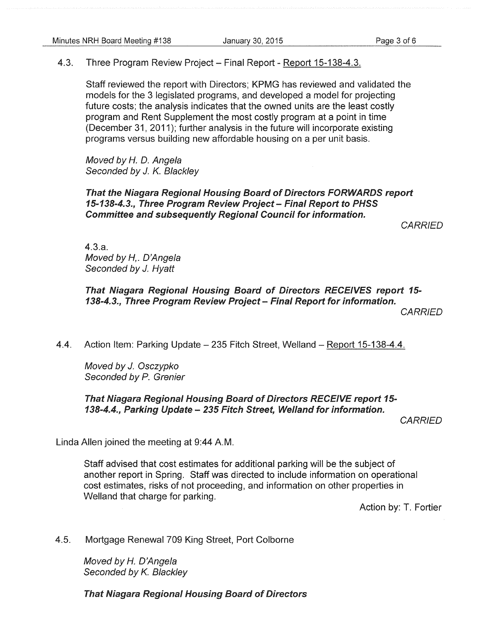4.3. Three Program Review Project- Final Report- Report 15-138-4.3.

Staff reviewed the report with Directors; KPMG has reviewed and validated the models for the 3 legislated programs, and developed a model for projecting future costs; the analysis indicates that the owned units are the least costly program and Rent Supplement the most costly program at a point in time (December 31, 2011 ); further analysis in the future will incorporate existing programs versus building new affordable housing on a per unit basis.

Moved by H. D. Angela Seconded by J. K. Blackley

That the Niagara Regional Housing Board of Directors FORWARDS report 15-138-4.3., Three Program Review Project- Final Report to PHSS Committee and subsequently Regional Council for information.

**CARRIED** 

4.3.a. Moved by H,. D'Angela Seconded by J. Hyatt

## That Niagara Regional Housing Board of Directors RECEIVES report 15- 138-4.3., Three Program Review Project- Final Report for information.

*CARRIED* 

4.4. Action Item: Parking Update - 235 Fitch Street, Welland - Report 15-138-4.4.

Moved by J. Osczypko Seconded by P. Grenier

That Niagara Regional Housing Board of Directors RECEIVE report15- 138-4.4., Parking Update- 235 Fitch Street, Weiland for information.

**CARRIED** 

Linda Allen joined the meeting at 9:44 A.M.

Staff advised that cost estimates for additional parking will be the subject of another report in Spring. Staff was directed to include information on operational cost estimates, risks of not proceeding, and information on other properties in Welland that charge for parking.

Action by: T. Fortier

4.5. Mortgage Renewal 709 King Street, Port Colborne

Moved by *H.* D'Angela Seconded by K. Blackley

That Niagara Regional Housing Board of Directors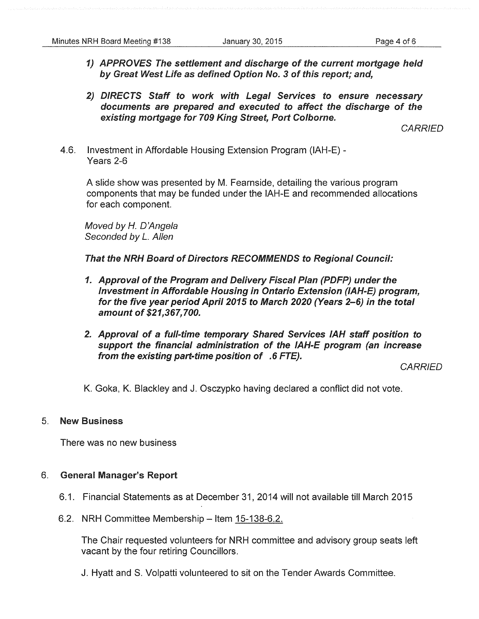- 1) APPROVES The settlement and discharge of the current mortgage held by Great West Life as defined Option No. 3 of this report; and,
- 2) DIRECTS Staff to work with Legal Services to ensure necessary documents are prepared and executed to affect the discharge of the existing mortgage for 709 King Street, Port Colborne.

**CARRIED** 

4.6. Investment in Affordable Housing Extension Program (IAH-E) - Years 2-6

A slide show was presented by M. Fearnside, detailing the various program components that may be funded under the IAH-E and recommended allocations for each component.

Moved by H. D'Angela Seconded by *L.* Allen

That the NRH Board of Directors RECOMMENDS to Regional Council:

- 1. Approval of the Program and Delivery Fiscal Plan (PDFP) under the Investment in Affordable Housing in Ontario Extension (IAH-E) program, for the five year period April 2015 to March 2020 (Years 2-6) in the total amount of \$21,367,700.
- 2. Approval of a full-time temporary Shared Services IAH staff position to support the financial administration of the IAH-E program (an increase from the existing part-time position of .6 FTE).

**CARRIED** 

K. Goka, K. Blackley and J. Osczypko having declared a conflict did not vote.

### 5. New Business

There was no new business

### 6. General Manager's Report

- 6.1. Financial Statements as at December 31, 2014 will not available till March 2015
- 6.2. NRH Committee Membership Item 15-138-6.2.

The Chair requested volunteers for NRH committee and advisory group seats left vacant by the four retiring Councillors.

J. Hyatt and S. Volpatti volunteered to sit on the Tender Awards Committee.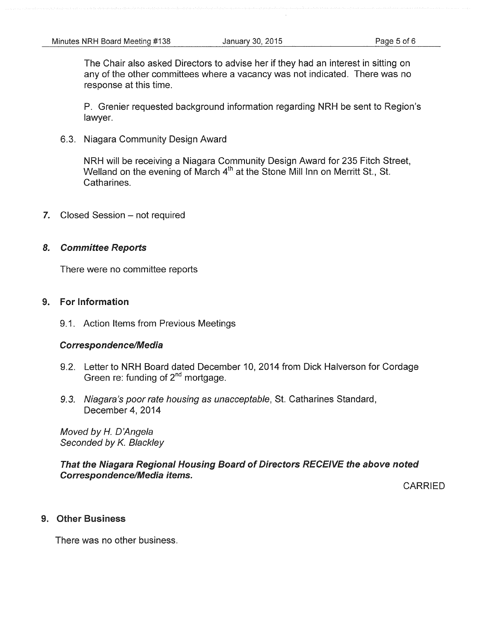The Chair also asked Directors to advise her if they had an interest in sitting on any of the other committees where a vacancy was not indicated. There was no response at this time.

P. Grenier requested background information regarding NRH be sent to Region's lawyer.

6.3. Niagara Community Design Award

NRH will be receiving a Niagara Community Design Award for 235 Fitch Street, Welland on the evening of March  $4<sup>th</sup>$  at the Stone Mill Inn on Merritt St., St. Catharines.

7. Closed Session - not required

#### 8. Committee Reports

There were no committee reports

### 9. For Information

9.1. Action Items from Previous Meetings

#### Correspondence/Media

- 9.2. Letter to NRH Board dated December 10, 2014 from Dick Halverson for Cordage Green re: funding of  $2<sup>nd</sup>$  mortgage.
- 9.3. Niagara's poor rate housing as unacceptable, St. Catharines Standard, December 4, 2014

Moved by H. D'Angela Seconded by K. Blackley

That the Niagara Regional Housing Board of Directors RECEIVE the above noted Correspondence/Media items.

CARRIED

#### 9. Other Business

There was no other business.